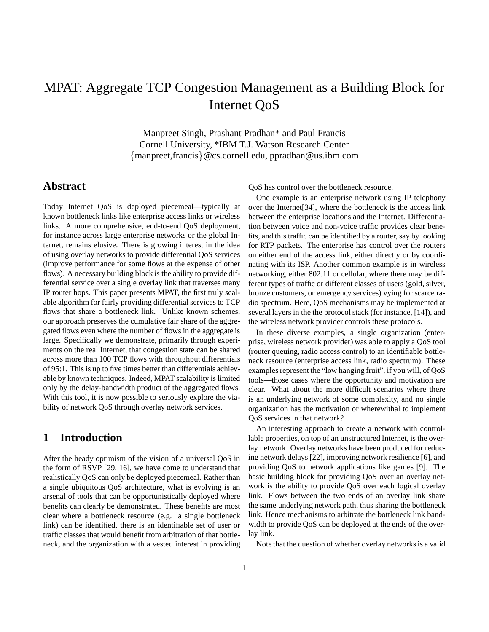# MPAT: Aggregate TCP Congestion Management as a Building Block for Internet QoS

Manpreet Singh, Prashant Pradhan\* and Paul Francis Cornell University, \*IBM T.J. Watson Research Center {manpreet,francis}@cs.cornell.edu, ppradhan@us.ibm.com

# **Abstract**

Today Internet QoS is deployed piecemeal—typically at known bottleneck links like enterprise access links or wireless links. A more comprehensive, end-to-end QoS deployment, for instance across large enterprise networks or the global Internet, remains elusive. There is growing interest in the idea of using overlay networks to provide differential QoS services (improve performance for some flows at the expense of other flows). A necessary building block is the ability to provide differential service over a single overlay link that traverses many IP router hops. This paper presents MPAT, the first truly scalable algorithm for fairly providing differential services to TCP flows that share a bottleneck link. Unlike known schemes, our approach preserves the cumulative fair share of the aggregated flows even where the number of flows in the aggregate is large. Specifically we demonstrate, primarily through experiments on the real Internet, that congestion state can be shared across more than 100 TCP flows with throughput differentials of 95:1. This is up to five times better than differentials achievable by known techniques. Indeed, MPAT scalability is limited only by the delay-bandwidth product of the aggregated flows. With this tool, it is now possible to seriously explore the viability of network QoS through overlay network services.

# **1 Introduction**

After the heady optimism of the vision of a universal QoS in the form of RSVP [29, 16], we have come to understand that realistically QoS can only be deployed piecemeal. Rather than a single ubiquitous QoS architecture, what is evolving is an arsenal of tools that can be opportunistically deployed where benefits can clearly be demonstrated. These benefits are most clear where a bottleneck resource (e.g. a single bottleneck link) can be identified, there is an identifiable set of user or traffic classes that would benefit from arbitration of that bottleneck, and the organization with a vested interest in providing

QoS has control over the bottleneck resource.

One example is an enterprise network using IP telephony over the Internet[34], where the bottleneck is the access link between the enterprise locations and the Internet. Differentiation between voice and non-voice traffic provides clear benefits, and this traffic can be identified by a router, say by looking for RTP packets. The enterprise has control over the routers on either end of the access link, either directly or by coordinating with its ISP. Another common example is in wireless networking, either 802.11 or cellular, where there may be different types of traffic or different classes of users (gold, silver, bronze customers, or emergency services) vying for scarce radio spectrum. Here, QoS mechanisms may be implemented at several layers in the the protocol stack (for instance, [14]), and the wireless network provider controls these protocols.

In these diverse examples, a single organization (enterprise, wireless network provider) was able to apply a QoS tool (router queuing, radio access control) to an identifiable bottleneck resource (enterprise access link, radio spectrum). These examples represent the "low hanging fruit", if you will, of QoS tools—those cases where the opportunity and motivation are clear. What about the more difficult scenarios where there is an underlying network of some complexity, and no single organization has the motivation or wherewithal to implement QoS services in that network?

An interesting approach to create a network with controllable properties, on top of an unstructured Internet, is the overlay network. Overlay networks have been produced for reducing network delays [22], improving network resilience [6], and providing QoS to network applications like games [9]. The basic building block for providing QoS over an overlay network is the ability to provide QoS over each logical overlay link. Flows between the two ends of an overlay link share the same underlying network path, thus sharing the bottleneck link. Hence mechanisms to arbitrate the bottleneck link bandwidth to provide QoS can be deployed at the ends of the overlay link.

Note that the question of whether overlay networks is a valid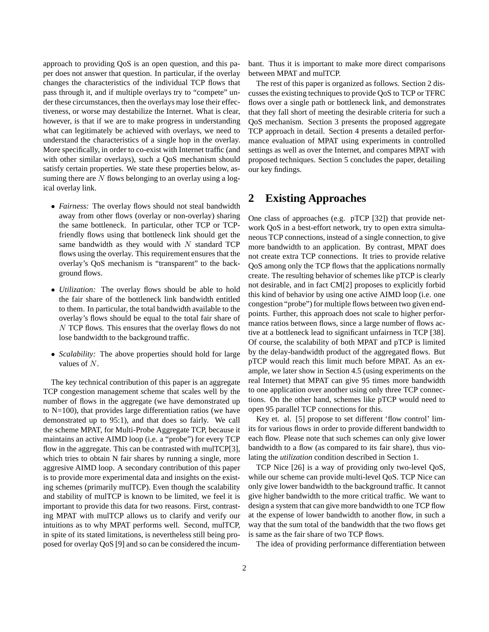approach to providing QoS is an open question, and this paper does not answer that question. In particular, if the overlay changes the characteristics of the individual TCP flows that pass through it, and if multiple overlays try to "compete" under these circumstances, then the overlays may lose their effectiveness, or worse may destabilize the Internet. What is clear, however, is that if we are to make progress in understanding what can legitimately be achieved with overlays, we need to understand the characteristics of a single hop in the overlay. More specifically, in order to co-exist with Internet traffic (and with other similar overlays), such a QoS mechanism should satisfy certain properties. We state these properties below, assuming there are  $N$  flows belonging to an overlay using a logical overlay link.

- *Fairness:* The overlay flows should not steal bandwidth away from other flows (overlay or non-overlay) sharing the same bottleneck. In particular, other TCP or TCPfriendly flows using that bottleneck link should get the same bandwidth as they would with  $N$  standard TCP flows using the overlay. This requirement ensures that the overlay's QoS mechanism is "transparent" to the background flows.
- *Utilization:* The overlay flows should be able to hold the fair share of the bottleneck link bandwidth entitled to them. In particular, the total bandwidth available to the overlay's flows should be equal to the total fair share of N TCP flows. This ensures that the overlay flows do not lose bandwidth to the background traffic.
- *Scalability:* The above properties should hold for large values of N.

The key technical contribution of this paper is an aggregate TCP congestion management scheme that scales well by the number of flows in the aggregate (we have demonstrated up to N=100), that provides large differentiation ratios (we have demonstrated up to 95:1), and that does so fairly. We call the scheme MPAT, for Multi-Probe Aggregate TCP, because it maintains an active AIMD loop (i.e. a "probe") for every TCP flow in the aggregate. This can be contrasted with mulTCP[3], which tries to obtain N fair shares by running a single, more aggresive AIMD loop. A secondary contribution of this paper is to provide more experimental data and insights on the existing schemes (primarily mulTCP). Even though the scalability and stability of mulTCP is known to be limited, we feel it is important to provide this data for two reasons. First, contrasting MPAT with mulTCP allows us to clarify and verify our intuitions as to why MPAT performs well. Second, mulTCP, in spite of its stated limitations, is nevertheless still being proposed for overlay QoS [9] and so can be considered the incumbant. Thus it is important to make more direct comparisons between MPAT and mulTCP.

The rest of this paper is organized as follows. Section 2 discusses the existing techniquesto provide QoS to TCP or TFRC flows over a single path or bottleneck link, and demonstrates that they fall short of meeting the desirable criteria for such a QoS mechanism. Section 3 presents the proposed aggregate TCP approach in detail. Section 4 presents a detailed performance evaluation of MPAT using experiments in controlled settings as well as over the Internet, and compares MPAT with proposed techniques. Section 5 concludes the paper, detailing our key findings.

# **2 Existing Approaches**

One class of approaches (e.g. pTCP [32]) that provide network QoS in a best-effort network, try to open extra simultaneous TCP connections, instead of a single connection, to give more bandwidth to an application. By contrast, MPAT does not create extra TCP connections. It tries to provide relative QoS among only the TCP flows that the applications normally create. The resulting behavior of schemes like pTCP is clearly not desirable, and in fact CM[2] proposes to explicitly forbid this kind of behavior by using one active AIMD loop (i.e. one congestion "probe") for multiple flows between two given endpoints. Further, this approach does not scale to higher performance ratios between flows, since a large number of flows active at a bottleneck lead to significant unfairness in TCP [38]. Of course, the scalability of both MPAT and pTCP is limited by the delay-bandwidth product of the aggregated flows. But pTCP would reach this limit much before MPAT. As an example, we later show in Section 4.5 (using experiments on the real Internet) that MPAT can give 95 times more bandwidth to one application over another using only three TCP connections. On the other hand, schemes like pTCP would need to open 95 parallel TCP connections for this.

Key et. al. [5] propose to set different 'flow control' limits for various flows in order to provide different bandwidth to each flow. Please note that such schemes can only give lower bandwidth to a flow (as compared to its fair share), thus violating the *utilization* condition described in Section 1.

TCP Nice [26] is a way of providing only two-level QoS, while our scheme can provide multi-level QoS. TCP Nice can only give lower bandwidth to the background traffic. It cannot give higher bandwidth to the more critical traffic. We want to design a system that can give more bandwidth to one TCP flow at the expense of lower bandwidth to another flow, in such a way that the sum total of the bandwidth that the two flows get is same as the fair share of two TCP flows.

The idea of providing performance differentiation between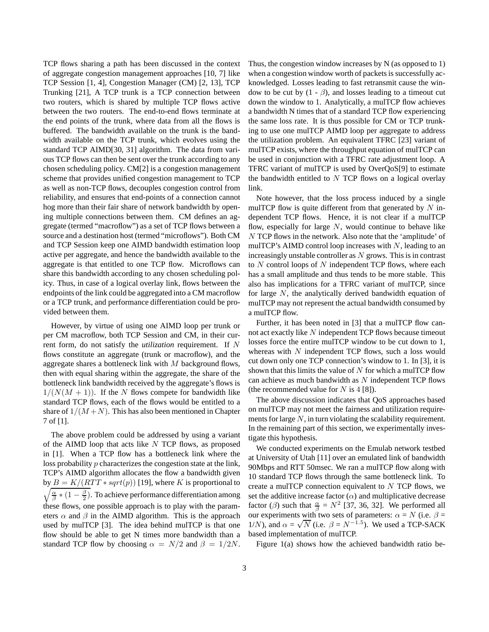TCP flows sharing a path has been discussed in the context of aggregate congestion management approaches [10, 7] like TCP Session [1, 4], Congestion Manager (CM) [2, 13], TCP Trunking [21], A TCP trunk is a TCP connection between two routers, which is shared by multiple TCP flows active between the two routers. The end-to-end flows terminate at the end points of the trunk, where data from all the flows is buffered. The bandwidth available on the trunk is the bandwidth available on the TCP trunk, which evolves using the standard TCP AIMD[30, 31] algorithm. The data from various TCP flows can then be sent over the trunk according to any chosen scheduling policy. CM[2] is a congestion management scheme that provides unified congestion management to TCP as well as non-TCP flows, decouples congestion control from reliability, and ensures that end-points of a connection cannot hog more than their fair share of network bandwidth by opening multiple connections between them. CM defines an aggregate (termed "macroflow") as a set of TCP flows between a source and a destination host (termed "microflows"). Both CM and TCP Session keep one AIMD bandwidth estimation loop active per aggregate, and hence the bandwidth available to the aggregate is that entitled to one TCP flow. Microflows can share this bandwidth according to any chosen scheduling policy. Thus, in case of a logical overlay link, flows between the endpoints of the link could be aggregated into a CM macroflow or a TCP trunk, and performance differentiation could be provided between them.

However, by virtue of using one AIMD loop per trunk or per CM macroflow, both TCP Session and CM, in their current form, do not satisfy the *utilization* requirement. If N flows constitute an aggregate (trunk or macroflow), and the aggregate shares a bottleneck link with  $M$  background flows, then with equal sharing within the aggregate, the share of the bottleneck link bandwidth received by the aggregate's flows is  $1/(N(M + 1))$ . If the N flows compete for bandwidth like standard TCP flows, each of the flows would be entitled to a share of  $1/(M+N)$ . This has also been mentioned in Chapter 7 of [1].

The above problem could be addressed by using a variant of the AIMD loop that acts like  $N$  TCP flows, as proposed in [1]. When a TCP flow has a bottleneck link where the loss probability p characterizes the congestion state at the link, TCP's AIMD algorithm allocates the flow a bandwidth given  $\sqrt{\frac{\alpha}{\beta} * (1 - \frac{\beta}{2})}$ . To achieve performance differentiation among by  $B = K/(RTT * sqrt(p))$  [19], where K is proportional to these flows, one possible approach is to play with the parameters  $\alpha$  and  $\beta$  in the AIMD algorithm. This is the approach used by mulTCP [3]. The idea behind mulTCP is that one flow should be able to get N times more bandwidth than a standard TCP flow by choosing  $\alpha = N/2$  and  $\beta = 1/2N$ .

Thus, the congestion window increases by N (as opposed to 1) when a congestion window worth of packets is successfully acknowledged. Losses leading to fast retransmit cause the window to be cut by  $(1 - \beta)$ , and losses leading to a timeout cut down the window to 1. Analytically, a mulTCP flow achieves a bandwidth N times that of a standard TCP flow experiencing the same loss rate. It is thus possible for CM or TCP trunking to use one mulTCP AIMD loop per aggregate to address the utilization problem. An equivalent TFRC [23] variant of mulTCP exists, where the throughput equation of mulTCP can be used in conjunction with a TFRC rate adjustment loop. A TFRC variant of mulTCP is used by OverQoS[9] to estimate the bandwidth entitled to  $N$  TCP flows on a logical overlay link.

Note however, that the loss process induced by a single mulTCP flow is quite different from that generated by  $N$  independent TCP flows. Hence, it is not clear if a mulTCP flow, especially for large  $N$ , would continue to behave like N TCP flows in the network. Also note that the 'amplitude' of mulTCP's AIMD control loop increases with  $N$ , leading to an increasingly unstable controller as N grows. This is in contrast to N control loops of N independent TCP flows, where each has a small amplitude and thus tends to be more stable. This also has implications for a TFRC variant of mulTCP, since for large N, the analytically derived bandwidth equation of mulTCP may not represent the actual bandwidth consumed by a mulTCP flow.

Further, it has been noted in [3] that a mulTCP flow cannot act exactly like N independent TCP flows because timeout losses force the entire mulTCP window to be cut down to 1, whereas with  $N$  independent TCP flows, such a loss would cut down only one TCP connection's window to 1. In [3], it is shown that this limits the value of  $N$  for which a mulTCP flow can achieve as much bandwidth as  $N$  independent TCP flows (the recommended value for  $N$  is 4 [8]).

The above discussion indicates that QoS approaches based on mulTCP may not meet the fairness and utilization requirements for large  $N$ , in turn violating the scalability requirement. In the remaining part of this section, we experimentally investigate this hypothesis.

We conducted experiments on the Emulab network testbed at University of Utah [11] over an emulated link of bandwidth 90Mbps and RTT 50msec. We ran a mulTCP flow along with 10 standard TCP flows through the same bottleneck link. To create a mulTCP connection equivalent to  $N$  TCP flows, we set the additive increase factor  $(\alpha)$  and multiplicative decrease factor ( $\beta$ ) such that  $\frac{\alpha}{\beta} = N^2$  [37, 36, 32]. We performed all our experiments with two sets of parameters:  $\alpha = N$  (i.e.  $\beta =$ 1/N), and  $\alpha = \sqrt{N}$  (i.e.  $\beta = N^{-1.5}$ ). We used a TCP-SACK based implementation of mulTCP.

Figure 1(a) shows how the achieved bandwidth ratio be-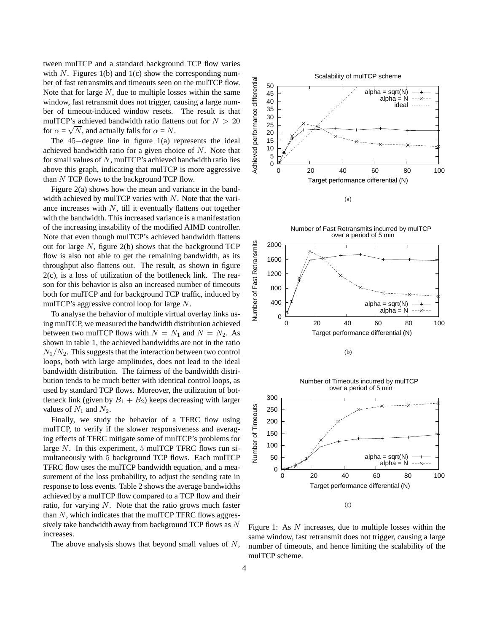tween mulTCP and a standard background TCP flow varies with N. Figures 1(b) and 1(c) show the corresponding number of fast retransmits and timeouts seen on the mulTCP flow. Note that for large  $N$ , due to multiple losses within the same window, fast retransmit does not trigger, causing a large number of timeout-induced window resets. The result is that mulTCP's achieved bandwidth ratio flattens out for  $N > 20$ for  $\alpha = \sqrt{N}$ , and actually falls for  $\alpha = N$ .

The 45−degree line in figure 1(a) represents the ideal achieved bandwidth ratio for a given choice of  $N$ . Note that for small values of  $N$ , mulTCP's achieved bandwidth ratio lies above this graph, indicating that mulTCP is more aggressive than N TCP flows to the background TCP flow.

Figure 2(a) shows how the mean and variance in the bandwidth achieved by mulTCP varies with  $N$ . Note that the variance increases with N, till it eventually flattens out together with the bandwidth. This increased variance is a manifestation of the increasing instability of the modified AIMD controller. Note that even though mulTCP's achieved bandwidth flattens out for large  $N$ , figure 2(b) shows that the background TCP flow is also not able to get the remaining bandwidth, as its throughput also flattens out. The result, as shown in figure 2(c), is a loss of utilization of the bottleneck link. The reason for this behavior is also an increased number of timeouts both for mulTCP and for background TCP traffic, induced by mulTCP's aggressive control loop for large N.

To analyse the behavior of multiple virtual overlay links using mulTCP, we measured the bandwidth distribution achieved between two mulTCP flows with  $N = N_1$  and  $N = N_2$ . As shown in table 1, the achieved bandwidths are not in the ratio  $N_1/N_2$ . This suggests that the interaction between two control loops, both with large amplitudes, does not lead to the ideal bandwidth distribution. The fairness of the bandwidth distribution tends to be much better with identical control loops, as used by standard TCP flows. Moreover, the utilization of bottleneck link (given by  $B_1 + B_2$ ) keeps decreasing with larger values of  $N_1$  and  $N_2$ .

Finally, we study the behavior of a TFRC flow using mulTCP, to verify if the slower responsiveness and averaging effects of TFRC mitigate some of mulTCP's problems for large  $N$ . In this experiment, 5 mulTCP TFRC flows run simultaneously with 5 background TCP flows. Each mulTCP TFRC flow uses the mulTCP bandwidth equation, and a measurement of the loss probability, to adjust the sending rate in response to loss events. Table 2 shows the average bandwidths achieved by a mulTCP flow compared to a TCP flow and their ratio, for varying  $N$ . Note that the ratio grows much faster than  $N$ , which indicates that the mulTCP TFRC flows aggressively take bandwidth away from background TCP flows as N increases.

The above analysis shows that beyond small values of  $N$ ,









Figure 1: As N increases, due to multiple losses within the same window, fast retransmit does not trigger, causing a large number of timeouts, and hence limiting the scalability of the mulTCP scheme.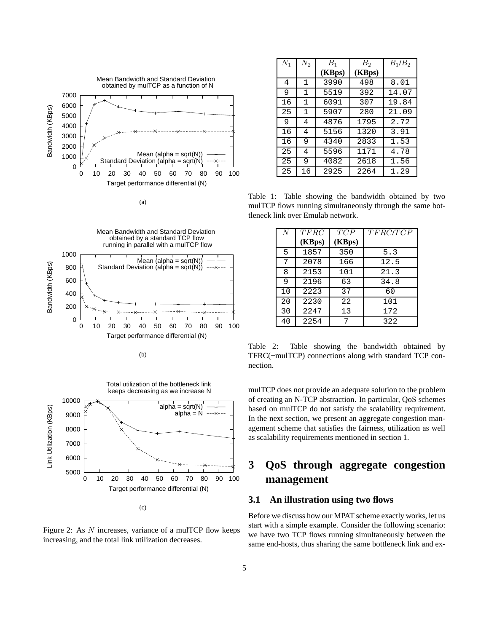

(a)



(b)



Figure 2: As N increases, variance of a mulTCP flow keeps increasing, and the total link utilization decreases.

| $N_1$ | $N_2$ | $B_1$  | B <sub>2</sub> | $B_1/B_2$ |  |
|-------|-------|--------|----------------|-----------|--|
|       |       | (KBps) | (KBps)         |           |  |
| 4     | 1     | 3990   | 498            | 8.01      |  |
| 9     | 1     | 5519   | 392            | 14.07     |  |
| 16    | 1     | 6091   | 307            | 19.84     |  |
| 25    | 1     | 5907   | 280            | 21.09     |  |
| 9     | 4     | 4876   | 1795           | 2.72      |  |
| 16    | 4     | 5156   | 1320           | 3.91      |  |
| 16    | 9     | 4340   | 2833           | 1.53      |  |
| 25    | 4     | 5596   | 1171           | 4.78      |  |
| 25    | 9     | 4082   | 2618           | 1.56      |  |
| 25    | 16    | 2925   | 2264           | 1.29      |  |

Table 1: Table showing the bandwidth obtained by two mulTCP flows running simultaneously through the same bottleneck link over Emulab network.

| N  | <b>TFRC</b> | TCP    | TFRCITCP |  |  |
|----|-------------|--------|----------|--|--|
|    | (KBps)      | (KBps) |          |  |  |
| 5  | 1857        | 350    | 5.3      |  |  |
| 7  | 2078        | 166    | 12.5     |  |  |
| 8  | 2153        | 101    | 21.3     |  |  |
| 9  | 2196        | 63     | 34.8     |  |  |
| 10 | 2223        | 37     | 60       |  |  |
| 20 | 2230        | 22     | 101      |  |  |
| 30 | 2247        | 13     | 172      |  |  |
| 40 | 2254        | 7      | 322      |  |  |

Table 2: Table showing the bandwidth obtained by TFRC(+mulTCP) connections along with standard TCP connection.

mulTCP does not provide an adequate solution to the problem of creating an N-TCP abstraction. In particular, QoS schemes based on mulTCP do not satisfy the scalability requirement. In the next section, we present an aggregate congestion management scheme that satisfies the fairness, utilization as well as scalability requirements mentioned in section 1.

# **3 QoS through aggregate congestion management**

# **3.1 An illustration using two flows**

Before we discuss how our MPAT scheme exactly works, let us start with a simple example. Consider the following scenario: we have two TCP flows running simultaneously between the same end-hosts, thus sharing the same bottleneck link and ex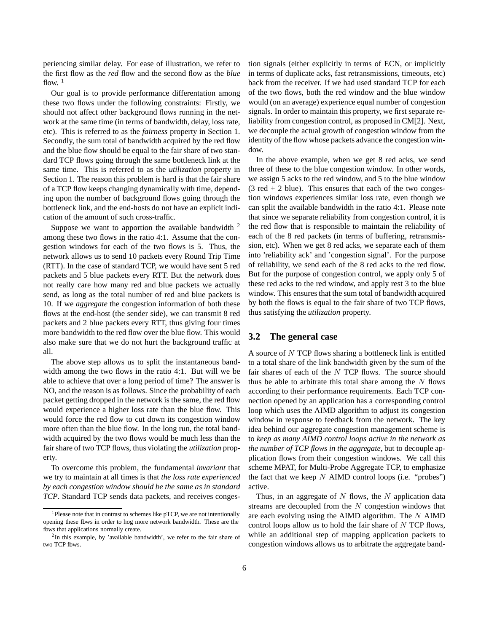periencing similar delay. For ease of illustration, we refer to the first flow as the *red* flow and the second flow as the *blue* flow.  $<sup>1</sup>$ </sup>

Our goal is to provide performance differentation among these two flows under the following constraints: Firstly, we should not affect other background flows running in the network at the same time (in terms of bandwidth, delay, loss rate, etc). This is referred to as the *fairness* property in Section 1. Secondly, the sum total of bandwidth acquired by the red flow and the blue flow should be equal to the fair share of two standard TCP flows going through the same bottleneck link at the same time. This is referred to as the *utilization* property in Section 1. The reason this problem is hard is that the fair share of a TCP flow keeps changing dynamically with time, depending upon the number of background flows going through the bottleneck link, and the end-hosts do not have an explicit indication of the amount of such cross-traffic.

Suppose we want to apportion the available bandwidth <sup>2</sup> among these two flows in the ratio 4:1. Assume that the congestion windows for each of the two flows is 5. Thus, the network allows us to send 10 packets every Round Trip Time (RTT). In the case of standard TCP, we would have sent 5 red packets and 5 blue packets every RTT. But the network does not really care how many red and blue packets we actually send, as long as the total number of red and blue packets is 10. If we *aggregate* the congestion information of both these flows at the end-host (the sender side), we can transmit 8 red packets and 2 blue packets every RTT, thus giving four times more bandwidth to the red flow over the blue flow. This would also make sure that we do not hurt the background traffic at all.

The above step allows us to split the instantaneous bandwidth among the two flows in the ratio 4:1. But will we be able to achieve that over a long period of time? The answer is NO, and the reason is as follows. Since the probability of each packet getting dropped in the network is the same, the red flow would experience a higher loss rate than the blue flow. This would force the red flow to cut down its congestion window more often than the blue flow. In the long run, the total bandwidth acquired by the two flows would be much less than the fair share of two TCP flows, thus violating the *utilization* property.

To overcome this problem, the fundamental *invariant* that we try to maintain at all times is that *the loss rate experienced by each congestion window should be the same as in standard TCP*. Standard TCP sends data packets, and receives congestion signals (either explicitly in terms of ECN, or implicitly in terms of duplicate acks, fast retransmissions, timeouts, etc) back from the receiver. If we had used standard TCP for each of the two flows, both the red window and the blue window would (on an average) experience equal number of congestion signals. In order to maintain this property, we first separate reliability from congestion control, as proposed in CM[2]. Next, we decouple the actual growth of congestion window from the identity of the flow whose packets advance the congestion window.

In the above example, when we get 8 red acks, we send three of these to the blue congestion window. In other words, we assign 5 acks to the red window, and 5 to the blue window  $(3 \text{ red} + 2 \text{ blue})$ . This ensures that each of the two congestion windows experiences similar loss rate, even though we can split the available bandwidth in the ratio 4:1. Please note that since we separate reliability from congestion control, it is the red flow that is responsible to maintain the reliability of each of the 8 red packets (in terms of buffering, retransmission, etc). When we get 8 red acks, we separate each of them into 'reliability ack' and 'congestion signal'. For the purpose of reliability, we send each of the 8 red acks to the red flow. But for the purpose of congestion control, we apply only 5 of these red acks to the red window, and apply rest 3 to the blue window. This ensures that the sum total of bandwidth acquired by both the flows is equal to the fair share of two TCP flows, thus satisfying the *utilization* property.

## **3.2 The general case**

A source of N TCP flows sharing a bottleneck link is entitled to a total share of the link bandwidth given by the sum of the fair shares of each of the  $N$  TCP flows. The source should thus be able to arbitrate this total share among the  $N$  flows according to their performance requirements. Each TCP connection opened by an application has a corresponding control loop which uses the AIMD algorithm to adjust its congestion window in response to feedback from the network. The key idea behind our aggregate congestion management scheme is to *keep as many AIMD control loops active in the network as the number of TCP flows in the aggregate*, but to decouple application flows from their congestion windows. We call this scheme MPAT, for Multi-Probe Aggregate TCP, to emphasize the fact that we keep  $N$  AIMD control loops (i.e. "probes") active.

Thus, in an aggregate of  $N$  flows, the  $N$  application data streams are decoupled from the  $N$  congestion windows that are each evolving using the AIMD algorithm. The  $N$  AIMD control loops allow us to hold the fair share of  $N$  TCP flows, while an additional step of mapping application packets to congestion windows allows us to arbitrate the aggregate band-

<sup>&</sup>lt;sup>1</sup>Please note that in contrast to schemes like pTCP, we are not intentionally opening these flows in order to hog more network bandwidth. These are the fbws that applications normally create.

<sup>&</sup>lt;sup>2</sup>In this example, by 'available bandwidth', we refer to the fair share of two TCP fbws.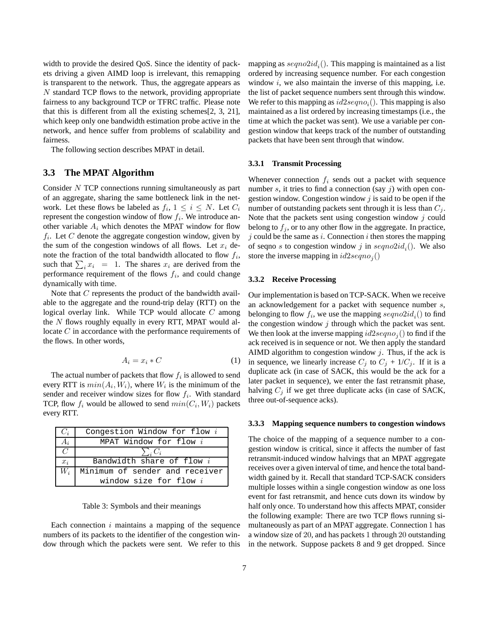width to provide the desired QoS. Since the identity of packets driving a given AIMD loop is irrelevant, this remapping is transparent to the network. Thus, the aggregate appears as N standard TCP flows to the network, providing appropriate fairness to any background TCP or TFRC traffic. Please note that this is different from all the existing schemes[2, 3, 21], which keep only one bandwidth estimation probe active in the network, and hence suffer from problems of scalability and fairness.

The following section describes MPAT in detail.

# **3.3 The MPAT Algorithm**

Consider N TCP connections running simultaneously as part of an aggregate, sharing the same bottleneck link in the network. Let these flows be labeled as  $f_i$ ,  $1 \leq i \leq N$ . Let  $C_i$ represent the congestion window of flow  $f_i$ . We introduce another variable  $A_i$  which denotes the MPAT window for flow  $f_i$ . Let C denote the aggregate congestion window, given by the sum of the congestion windows of all flows. Let  $x_i$  denote the fraction of the total bandwidth allocated to flow  $f_i$ , such that  $\sum_i x_i = 1$ . The shares  $x_i$  are derived from the performance requirement of the flows  $f_i$ , and could change dynamically with time.

Note that C represents the product of the bandwidth available to the aggregate and the round-trip delay (RTT) on the logical overlay link. While TCP would allocate  $C$  among the  $N$  flows roughly equally in every RTT, MPAT would allocate C in accordance with the performance requirements of the flows. In other words,

$$
A_i = x_i * C \tag{1}
$$

The actual number of packets that flow  $f_i$  is allowed to send every RTT is  $min(A_i, W_i)$ , where  $W_i$  is the minimum of the sender and receiver window sizes for flow  $f_i$ . With standard TCP, flow  $f_i$  would be allowed to send  $min(C_i, W_i)$  packets every RTT.

| $C_i$    | Congestion Window for flow $i$ |  |  |  |  |  |  |  |
|----------|--------------------------------|--|--|--|--|--|--|--|
| $A_i$    | MPAT Window for flow i         |  |  |  |  |  |  |  |
| $\Gamma$ | $\sum_i C_i$                   |  |  |  |  |  |  |  |
| $x_i$    | Bandwidth share of flow i      |  |  |  |  |  |  |  |
| $W_i$    | Minimum of sender and receiver |  |  |  |  |  |  |  |
|          | window size for flow $i$       |  |  |  |  |  |  |  |

### Table 3: Symbols and their meanings

Each connection  $i$  maintains a mapping of the sequence numbers of its packets to the identifier of the congestion window through which the packets were sent. We refer to this

mapping as  $\mathit{seqno2id}_i()$ . This mapping is maintained as a list ordered by increasing sequence number. For each congestion window  $i$ , we also maintain the inverse of this mapping, i.e. the list of packet sequence numbers sent through this window. We refer to this mapping as  $id2seqno_i()$ . This mapping is also maintained as a list ordered by increasing timestamps (i.e., the time at which the packet was sent). We use a variable per congestion window that keeps track of the number of outstanding packets that have been sent through that window.

#### **3.3.1 Transmit Processing**

Whenever connection  $f_i$  sends out a packet with sequence number s, it tries to find a connection (say  $j$ ) with open congestion window. Congestion window  $j$  is said to be open if the number of outstanding packets sent through it is less than  $C_i$ . Note that the packets sent using congestion window  $j$  could belong to  $f_j$ , or to any other flow in the aggregate. In practice,  $j$  could be the same as  $i$ . Connection  $i$  then stores the mapping of seqno s to congestion window j in  $seqno2id_i()$ . We also store the inverse mapping in  $id2seqno_j()$ 

#### **3.3.2 Receive Processing**

Our implementation is based on TCP-SACK. When we receive an acknowledgement for a packet with sequence number s, belonging to flow  $f_i$ , we use the mapping  $seqno2id_i()$  to find the congestion window  $j$  through which the packet was sent. We then look at the inverse mapping  $id2seqno_j()$  to find if the ack received is in sequence or not. We then apply the standard AIMD algorithm to congestion window  $j$ . Thus, if the ack is in sequence, we linearly increase  $C_j$  to  $C_j + 1/C_j$ . If it is a duplicate ack (in case of SACK, this would be the ack for a later packet in sequence), we enter the fast retransmit phase, halving  $C_j$  if we get three duplicate acks (in case of SACK, three out-of-sequence acks).

#### **3.3.3 Mapping sequence numbers to congestion windows**

The choice of the mapping of a sequence number to a congestion window is critical, since it affects the number of fast retransmit-induced window halvings that an MPAT aggregate receives over a given interval of time, and hence the total bandwidth gained by it. Recall that standard TCP-SACK considers multiple losses within a single congestion window as one loss event for fast retransmit, and hence cuts down its window by half only once. To understand how this affects MPAT, consider the following example: There are two TCP flows running simultaneously as part of an MPAT aggregate. Connection 1 has a window size of 20, and has packets 1 through 20 outstanding in the network. Suppose packets 8 and 9 get dropped. Since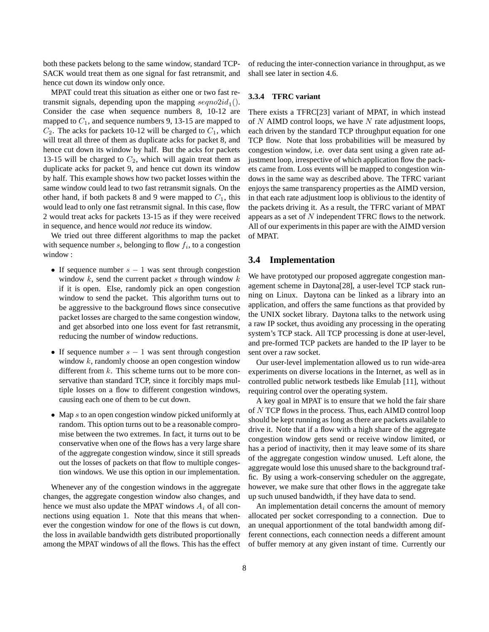both these packets belong to the same window, standard TCP-SACK would treat them as one signal for fast retransmit, and hence cut down its window only once.

MPAT could treat this situation as either one or two fast retransmit signals, depending upon the mapping  $seqno2id_1()$ . Consider the case when sequence numbers 8, 10-12 are mapped to  $C_1$ , and sequence numbers 9, 13-15 are mapped to  $C_2$ . The acks for packets 10-12 will be charged to  $C_1$ , which will treat all three of them as duplicate acks for packet 8, and hence cut down its window by half. But the acks for packets 13-15 will be charged to  $C_2$ , which will again treat them as duplicate acks for packet 9, and hence cut down its window by half. This example shows how two packet losses within the same window could lead to two fast retransmit signals. On the other hand, if both packets 8 and 9 were mapped to  $C_1$ , this would lead to only one fast retransmit signal. In this case, flow 2 would treat acks for packets 13-15 as if they were received in sequence, and hence would *not* reduce its window.

We tried out three different algorithms to map the packet with sequence number s, belonging to flow  $f_i$ , to a congestion window :

- If sequence number  $s 1$  was sent through congestion window  $k$ , send the current packet s through window  $k$ if it is open. Else, randomly pick an open congestion window to send the packet. This algorithm turns out to be aggressive to the background flows since consecutive packet losses are charged to the same congestion window, and get absorbed into one loss event for fast retransmit, reducing the number of window reductions.
- If sequence number  $s 1$  was sent through congestion window  $k$ , randomly choose an open congestion window different from  $k$ . This scheme turns out to be more conservative than standard TCP, since it forcibly maps multiple losses on a flow to different congestion windows, causing each one of them to be cut down.
- Map s to an open congestion window picked uniformly at random. This option turns out to be a reasonable compromise between the two extremes. In fact, it turns out to be conservative when one of the flows has a very large share of the aggregate congestion window, since it still spreads out the losses of packets on that flow to multiple congestion windows. We use this option in our implementation.

Whenever any of the congestion windows in the aggregate changes, the aggregate congestion window also changes, and hence we must also update the MPAT windows  $A_i$  of all connections using equation 1. Note that this means that whenever the congestion window for one of the flows is cut down, the loss in available bandwidth gets distributed proportionally among the MPAT windows of all the flows. This has the effect of reducing the inter-connection variance in throughput, as we shall see later in section 4.6.

### **3.3.4 TFRC variant**

There exists a TFRC[23] variant of MPAT, in which instead of  $N$  AIMD control loops, we have  $N$  rate adjustment loops, each driven by the standard TCP throughput equation for one TCP flow. Note that loss probabilities will be measured by congestion window, i.e. over data sent using a given rate adjustment loop, irrespective of which application flow the packets came from. Loss events will be mapped to congestion windows in the same way as described above. The TFRC variant enjoys the same transparency properties as the AIMD version, in that each rate adjustment loop is oblivious to the identity of the packets driving it. As a result, the TFRC variant of MPAT appears as a set of N independent TFRC flows to the network. All of our experiments in this paper are with the AIMD version of MPAT.

#### **3.4 Implementation**

We have prototyped our proposed aggregate congestion management scheme in Daytona[28], a user-level TCP stack running on Linux. Daytona can be linked as a library into an application, and offers the same functions as that provided by the UNIX socket library. Daytona talks to the network using a raw IP socket, thus avoiding any processing in the operating system's TCP stack. All TCP processing is done at user-level, and pre-formed TCP packets are handed to the IP layer to be sent over a raw socket.

Our user-level implementation allowed us to run wide-area experiments on diverse locations in the Internet, as well as in controlled public network testbeds like Emulab [11], without requiring control over the operating system.

A key goal in MPAT is to ensure that we hold the fair share of N TCP flows in the process. Thus, each AIMD control loop should be kept running as long as there are packets available to drive it. Note that if a flow with a high share of the aggregate congestion window gets send or receive window limited, or has a period of inactivity, then it may leave some of its share of the aggregate congestion window unused. Left alone, the aggregate would lose this unused share to the background traffic. By using a work-conserving scheduler on the aggregate, however, we make sure that other flows in the aggregate take up such unused bandwidth, if they have data to send.

An implementation detail concerns the amount of memory allocated per socket corresponding to a connection. Due to an unequal apportionment of the total bandwidth among different connections, each connection needs a different amount of buffer memory at any given instant of time. Currently our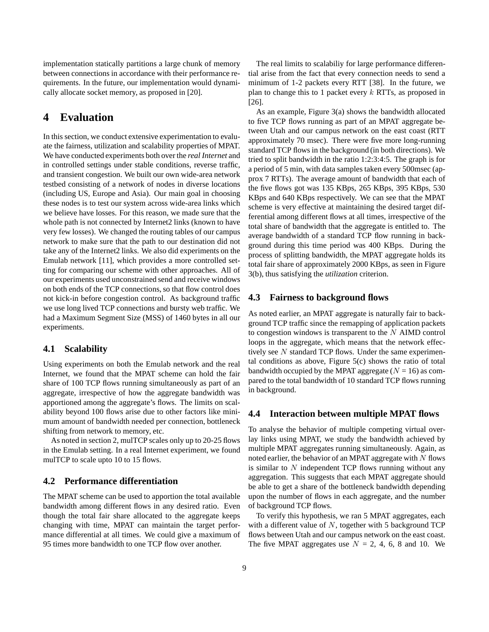implementation statically partitions a large chunk of memory between connections in accordance with their performance requirements. In the future, our implementation would dynamically allocate socket memory, as proposed in [20].

# **4 Evaluation**

In this section, we conduct extensive experimentation to evaluate the fairness, utilization and scalability properties of MPAT. We have conducted experiments both over the *real Internet* and in controlled settings under stable conditions, reverse traffic, and transient congestion. We built our own wide-area network testbed consisting of a network of nodes in diverse locations (including US, Europe and Asia). Our main goal in choosing these nodes is to test our system across wide-area links which we believe have losses. For this reason, we made sure that the whole path is not connected by Internet2 links (known to have very few losses). We changed the routing tables of our campus network to make sure that the path to our destination did not take any of the Internet2 links. We also did experiments on the Emulab network [11], which provides a more controlled setting for comparing our scheme with other approaches. All of our experiments used unconstrained send and receive windows on both ends of the TCP connections, so that flow control does not kick-in before congestion control. As background traffic we use long lived TCP connections and bursty web traffic. We had a Maximum Segment Size (MSS) of 1460 bytes in all our experiments.

# **4.1 Scalability**

Using experiments on both the Emulab network and the real Internet, we found that the MPAT scheme can hold the fair share of 100 TCP flows running simultaneously as part of an aggregate, irrespective of how the aggregate bandwidth was apportioned among the aggregate's flows. The limits on scalability beyond 100 flows arise due to other factors like minimum amount of bandwidth needed per connection, bottleneck shifting from network to memory, etc.

As noted in section 2, mulTCP scales only up to 20-25 flows in the Emulab setting. In a real Internet experiment, we found mulTCP to scale upto 10 to 15 flows.

### **4.2 Performance differentiation**

The MPAT scheme can be used to apportion the total available bandwidth among different flows in any desired ratio. Even though the total fair share allocated to the aggregate keeps changing with time, MPAT can maintain the target performance differential at all times. We could give a maximum of 95 times more bandwidth to one TCP flow over another.

The real limits to scalabiliy for large performance differential arise from the fact that every connection needs to send a minimum of 1-2 packets every RTT [38]. In the future, we plan to change this to 1 packet every  $k$  RTTs, as proposed in [26].

As an example, Figure 3(a) shows the bandwidth allocated to five TCP flows running as part of an MPAT aggregate between Utah and our campus network on the east coast (RTT approximately 70 msec). There were five more long-running standard TCP flows in the background (in both directions). We tried to split bandwidth in the ratio 1:2:3:4:5. The graph is for a period of 5 min, with data samples taken every 500msec (approx 7 RTTs). The average amount of bandwidth that each of the five flows got was 135 KBps, 265 KBps, 395 KBps, 530 KBps and 640 KBps respectively. We can see that the MPAT scheme is very effective at maintaining the desired target differential among different flows at all times, irrespective of the total share of bandwidth that the aggregate is entitled to. The average bandwidth of a standard TCP flow running in background during this time period was 400 KBps. During the process of splitting bandwidth, the MPAT aggregate holds its total fair share of approximately 2000 KBps, as seen in Figure 3(b), thus satisfying the *utilization* criterion.

### **4.3 Fairness to background flows**

As noted earlier, an MPAT aggregate is naturally fair to background TCP traffic since the remapping of application packets to congestion windows is transparent to the  $N$  AIMD control loops in the aggregate, which means that the network effectively see  $N$  standard TCP flows. Under the same experimental conditions as above, Figure  $5(c)$  shows the ratio of total bandwidth occupied by the MPAT aggregate ( $N = 16$ ) as compared to the total bandwidth of 10 standard TCP flows running in background.

### **4.4 Interaction between multiple MPAT flows**

To analyse the behavior of multiple competing virtual overlay links using MPAT, we study the bandwidth achieved by multiple MPAT aggregates running simultaneously. Again, as noted earlier, the behavior of an MPAT aggregate with  $N$  flows is similar to  $N$  independent TCP flows running without any aggregation. This suggests that each MPAT aggregate should be able to get a share of the bottleneck bandwidth depending upon the number of flows in each aggregate, and the number of background TCP flows.

To verify this hypothesis, we ran 5 MPAT aggregates, each with a different value of  $N$ , together with 5 background TCP flows between Utah and our campus network on the east coast. The five MPAT aggregates use  $N = 2, 4, 6, 8$  and 10. We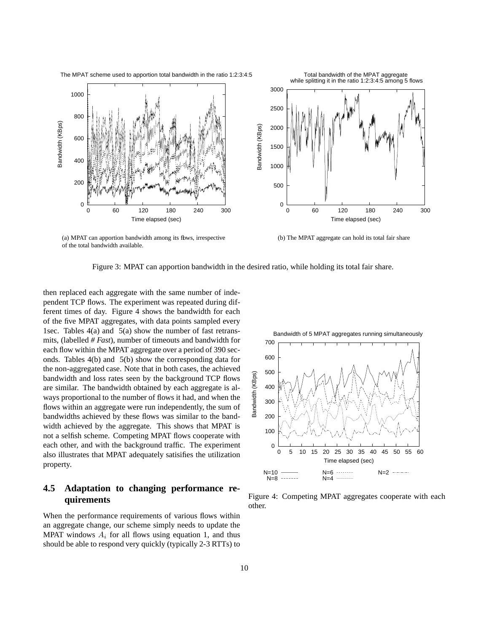

(a) MPAT can apportion bandwidth among its fbws, irrespective of the total bandwidth available.

(b) The MPAT aggregate can hold its total fair share

Figure 3: MPAT can apportion bandwidth in the desired ratio, while holding its total fair share.

then replaced each aggregate with the same number of independent TCP flows. The experiment was repeated during different times of day. Figure 4 shows the bandwidth for each of the five MPAT aggregates, with data points sampled every 1sec. Tables 4(a) and 5(a) show the number of fast retransmits, (labelled *# Fast*), number of timeouts and bandwidth for each flow within the MPAT aggregate over a period of 390 seconds. Tables 4(b) and 5(b) show the corresponding data for the non-aggregated case. Note that in both cases, the achieved bandwidth and loss rates seen by the background TCP flows are similar. The bandwidth obtained by each aggregate is always proportional to the number of flows it had, and when the flows within an aggregate were run independently, the sum of bandwidths achieved by these flows was similar to the bandwidth achieved by the aggregate. This shows that MPAT is not a selfish scheme. Competing MPAT flows cooperate with each other, and with the background traffic. The experiment also illustrates that MPAT adequately satisifies the utilization property.

# **4.5 Adaptation to changing performance requirements**

When the performance requirements of various flows within an aggregate change, our scheme simply needs to update the MPAT windows  $A_i$  for all flows using equation 1, and thus should be able to respond very quickly (typically 2-3 RTTs) to



Figure 4: Competing MPAT aggregates cooperate with each other.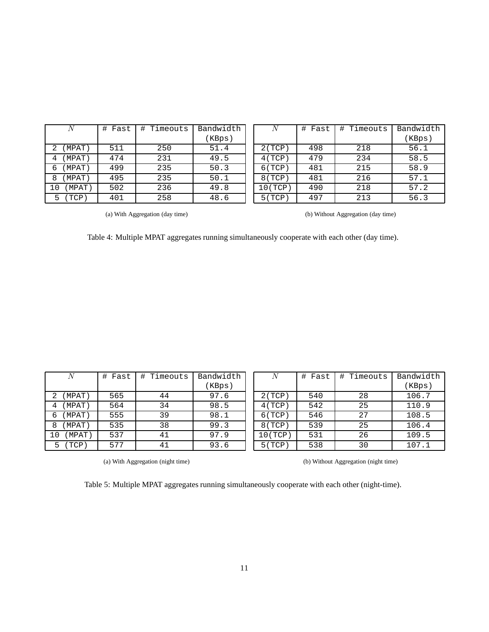|    | N      | #<br>Fast | #<br>Timeouts | Bandwidth | N         | Fast<br># | # Timeouts | Bandwidth |
|----|--------|-----------|---------------|-----------|-----------|-----------|------------|-----------|
|    |        |           |               | (KBps)    |           |           |            | (KBps)    |
| 2  | (MPAT) | 511       | 250           | 51.4      | 2(TCP)    | 498       | 218        | 56.1      |
| 4  | (MPAT) | 474       | 231           | 49.5      | $4$ (TCP) | 479       | 234        | 58.5      |
| 6  | (MPAT) | 499       | 235           | 50.3      | 6(TCP)    | 481       | 215        | 58.9      |
| 8  | (MPAT) | 495       | 235           | 50.1      | 8(TCP)    | 481       | 216        | 57.1      |
| 10 | (MPAT) | 502       | 236           | 49.8      | 10(TCP)   | 490       | 218        | 57.2      |
| 5  | TCP)   | 401       | 258           | 48.6      | 5(TCP)    | 497       | 213        | 56.3      |

(a) With Aggregation (day time)

(b) Without Aggregation (day time)

| Table 4: Multiple MPAT aggregates running simultaneously cooperate with each other (day time). |  |  |  |
|------------------------------------------------------------------------------------------------|--|--|--|
|                                                                                                |  |  |  |

|    | N      | #<br>Fast | #<br>Timeouts | Bandwidth |           | #<br>Fast | Timeouts<br># | Bandwidth |
|----|--------|-----------|---------------|-----------|-----------|-----------|---------------|-----------|
|    |        |           |               | (KBps)    |           |           |               | (KBps)    |
| 2  | (MPAT) | 565       | 44            | 97.6      | $2$ (TCP  | 540       | 28            | 106.7     |
| 4  | (MPAT) | 564       | 34            | 98.5      | $4$ (TCP) | 542       | 25            | 110.9     |
| 6  | (MPAT) | 555       | 39            | 98.1      | 6(TCP)    | 546       | 27            | 108.5     |
| 8  | (MPAT) | 535       | 38            | 99.3      | 8(TCP)    | 539       | 25            | 106.4     |
| 10 | MPAT)  | 537       | 41            | 97.9      | 10(TCP)   | 531       | 26            | 109.5     |
| 5  | TCP)   | 577       | 41            | 93.6      | 5(TCP)    | 538       | 30            | 107.1     |

(a) With Aggregation (night time)

(b) Without Aggregation (night time)

Table 5: Multiple MPAT aggregates running simultaneously cooperate with each other (night-time).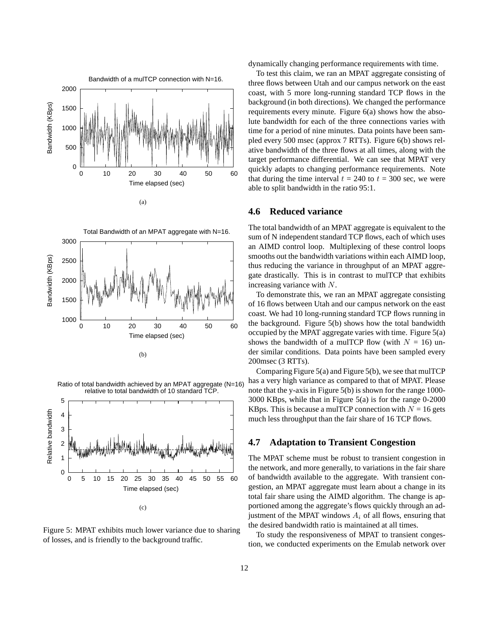



(b)

Ratio of total bandwidth achieved by an MPAT aggregate (N=16) relative to total bandwidth of 10 standard TCP.



Figure 5: MPAT exhibits much lower variance due to sharing of losses, and is friendly to the background traffic.

dynamically changing performance requirements with time.

To test this claim, we ran an MPAT aggregate consisting of three flows between Utah and our campus network on the east coast, with 5 more long-running standard TCP flows in the background (in both directions). We changed the performance requirements every minute. Figure 6(a) shows how the absolute bandwidth for each of the three connections varies with time for a period of nine minutes. Data points have been sampled every 500 msec (approx 7 RTTs). Figure 6(b) shows relative bandwidth of the three flows at all times, along with the target performance differential. We can see that MPAT very quickly adapts to changing performance requirements. Note that during the time interval  $t = 240$  to  $t = 300$  sec, we were able to split bandwidth in the ratio 95:1.

### **4.6 Reduced variance**

The total bandwidth of an MPAT aggregate is equivalent to the sum of N independent standard TCP flows, each of which uses an AIMD control loop. Multiplexing of these control loops smooths out the bandwidth variations within each AIMD loop, thus reducing the variance in throughput of an MPAT aggregate drastically. This is in contrast to mulTCP that exhibits increasing variance with N.

To demonstrate this, we ran an MPAT aggregate consisting of 16 flows between Utah and our campus network on the east coast. We had 10 long-running standard TCP flows running in the background. Figure 5(b) shows how the total bandwidth occupied by the MPAT aggregate varies with time. Figure 5(a) shows the bandwidth of a mulTCP flow (with  $N = 16$ ) under similar conditions. Data points have been sampled every 200msec (3 RTTs).

Comparing Figure 5(a) and Figure 5(b), we see that mulTCP has a very high variance as compared to that of MPAT. Please note that the y-axis in Figure 5(b) is shown for the range 1000- 3000 KBps, while that in Figure 5(a) is for the range 0-2000 KBps. This is because a mulTCP connection with  $N = 16$  gets much less throughput than the fair share of 16 TCP flows.

# **4.7 Adaptation to Transient Congestion**

The MPAT scheme must be robust to transient congestion in the network, and more generally, to variations in the fair share of bandwidth available to the aggregate. With transient congestion, an MPAT aggregate must learn about a change in its total fair share using the AIMD algorithm. The change is apportioned among the aggregate's flows quickly through an adjustment of the MPAT windows  $A_i$  of all flows, ensuring that the desired bandwidth ratio is maintained at all times.

To study the responsiveness of MPAT to transient congestion, we conducted experiments on the Emulab network over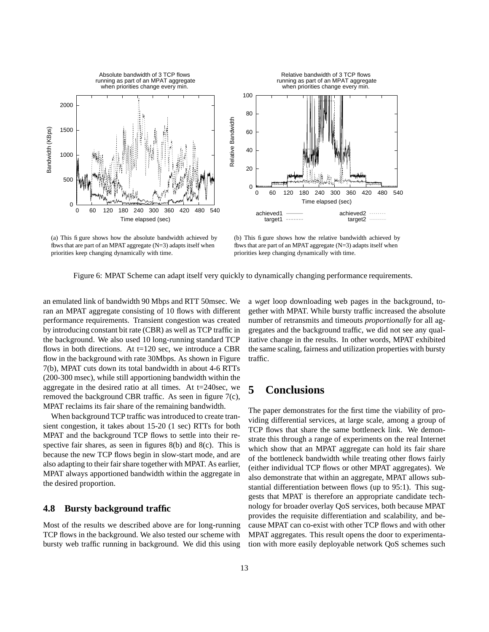



(a) This figure shows how the absolute bandwidth achieved by fbws that are part of an MPAT aggregate  $(N=3)$  adapts itself when priorities keep changing dynamically with time.

(b) This figure shows how the relative bandwidth achieved by fbws that are part of an MPAT aggregate  $(N=3)$  adapts itself when priorities keep changing dynamically with time.

Figure 6: MPAT Scheme can adapt itself very quickly to dynamically changing performance requirements.

an emulated link of bandwidth 90 Mbps and RTT 50msec. We ran an MPAT aggregate consisting of 10 flows with different performance requirements. Transient congestion was created by introducing constant bit rate (CBR) as well as TCP traffic in the background. We also used 10 long-running standard TCP flows in both directions. At  $t=120$  sec, we introduce a CBR flow in the background with rate 30Mbps. As shown in Figure 7(b), MPAT cuts down its total bandwidth in about 4-6 RTTs (200-300 msec), while still apportioning bandwidth within the aggregate in the desired ratio at all times. At t=240sec, we removed the background CBR traffic. As seen in figure 7(c), MPAT reclaims its fair share of the remaining bandwidth.

When background TCP traffic was introduced to create transient congestion, it takes about 15-20 (1 sec) RTTs for both MPAT and the background TCP flows to settle into their respective fair shares, as seen in figures 8(b) and 8(c). This is because the new TCP flows begin in slow-start mode, and are also adapting to their fairshare together with MPAT. As earlier, MPAT always apportioned bandwidth within the aggregate in the desired proportion.

# **4.8 Bursty background traffic**

Most of the results we described above are for long-running TCP flows in the background. We also tested our scheme with bursty web traffic running in background. We did this using

a *wget* loop downloading web pages in the background, together with MPAT. While bursty traffic increased the absolute number of retransmits and timeouts *proportionally* for all aggregates and the background traffic, we did not see any qualitative change in the results. In other words, MPAT exhibited the same scaling, fairness and utilization properties with bursty traffic.

# **5 Conclusions**

The paper demonstrates for the first time the viability of providing differential services, at large scale, among a group of TCP flows that share the same bottleneck link. We demonstrate this through a range of experiments on the real Internet which show that an MPAT aggregate can hold its fair share of the bottleneck bandwidth while treating other flows fairly (either individual TCP flows or other MPAT aggregates). We also demonstrate that within an aggregate, MPAT allows substantial differentiation between flows (up to 95:1). This suggests that MPAT is therefore an appropriate candidate technology for broader overlay QoS services, both because MPAT provides the requisite differentiation and scalability, and because MPAT can co-exist with other TCP flows and with other MPAT aggregates. This result opens the door to experimentation with more easily deployable network QoS schemes such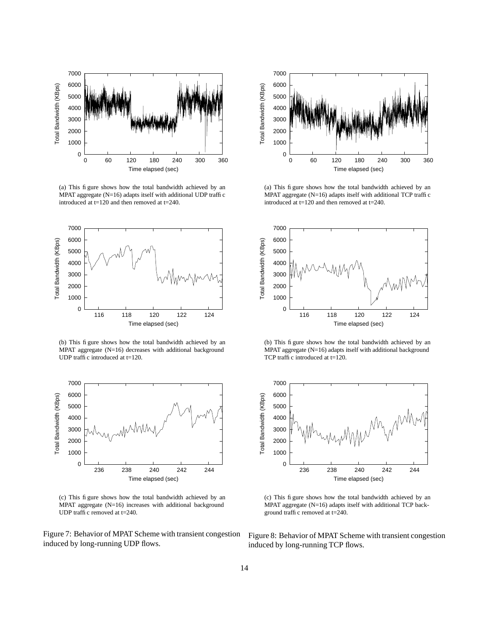

(a) This figure shows how the total bandwidth achieved by an MPAT aggregate  $(N=16)$  adapts itself with additional UDP traffic introduced at t=120 and then removed at t=240.



(b) This figure shows how the total bandwidth achieved by an MPAT aggregate  $(N=16)$  decreases with additional background UDP traffic introduced at t=120.



(c) This figure shows how the total bandwidth achieved by an MPAT aggregate (N=16) increases with additional background UDP traffic removed at t=240.

Figure 7: Behavior of MPAT Scheme with transient congestion induced by long-running UDP flows.



(a) This figure shows how the total bandwidth achieved by an MPAT aggregate  $(N=16)$  adapts itself with additional TCP traffic introduced at t=120 and then removed at t=240.



(b) This figure shows how the total bandwidth achieved by an MPAT aggregate  $(N=16)$  adapts itself with additional background TCP traffic introduced at t=120.



(c) This figure shows how the total bandwidth achieved by an MPAT aggregate (N=16) adapts itself with additional TCP background traffic removed at t=240.

Figure 8: Behavior of MPAT Scheme with transient congestion induced by long-running TCP flows.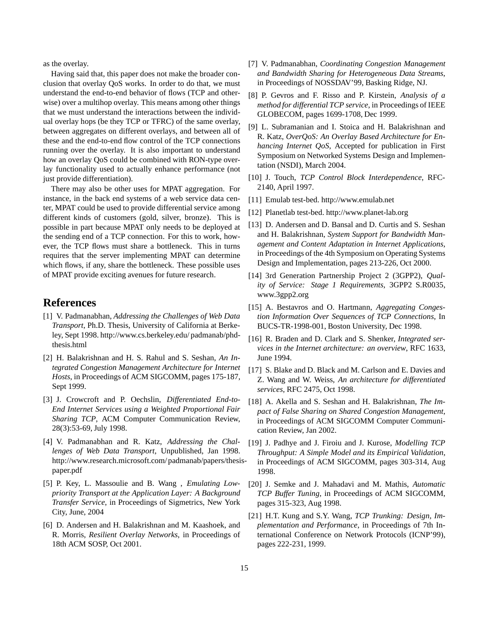as the overlay.

Having said that, this paper does not make the broader conclusion that overlay QoS works. In order to do that, we must understand the end-to-end behavior of flows (TCP and otherwise) over a multihop overlay. This means among other things that we must understand the interactions between the individual overlay hops (be they TCP or TFRC) of the same overlay, between aggregates on different overlays, and between all of these and the end-to-end flow control of the TCP connections running over the overlay. It is also important to understand how an overlay QoS could be combined with RON-type overlay functionality used to actually enhance performance (not just provide differentiation).

There may also be other uses for MPAT aggregation. For instance, in the back end systems of a web service data center, MPAT could be used to provide differential service among different kinds of customers (gold, silver, bronze). This is possible in part because MPAT only needs to be deployed at the sending end of a TCP connection. For this to work, however, the TCP flows must share a bottleneck. This in turns requires that the server implementing MPAT can determine which flows, if any, share the bottleneck. These possible uses of MPAT provide exciting avenues for future research.

# **References**

- [1] V. Padmanabhan, *Addressing the Challenges of Web Data Transport*, Ph.D. Thesis, University of California at Berkeley, Sept 1998. http://www.cs.berkeley.edu/ padmanab/phdthesis.html
- [2] H. Balakrishnan and H. S. Rahul and S. Seshan, *An Integrated Congestion Management Architecture for Internet Hosts*, in Proceedings of ACM SIGCOMM, pages 175-187, Sept 1999.
- [3] J. Crowcroft and P. Oechslin, *Differentiated End-to-End Internet Services using a Weighted Proportional Fair Sharing TCP*, ACM Computer Communication Review, 28(3):53-69, July 1998.
- [4] V. Padmanabhan and R. Katz, *Addressing the Challenges of Web Data Transport*, Unpublished, Jan 1998. http://www.research.microsoft.com/padmanab/papers/thesispaper.pdf
- [5] P. Key, L. Massoulie and B. Wang , *Emulating Lowpriority Transport at the Application Layer: A Background Transfer Service*, in Proceedings of Sigmetrics, New York City, June, 2004
- [6] D. Andersen and H. Balakrishnan and M. Kaashoek, and R. Morris, *Resilient Overlay Networks*, in Proceedings of 18th ACM SOSP, Oct 2001.
- [7] V. Padmanabhan, *Coordinating Congestion Management and Bandwidth Sharing for Heterogeneous Data Streams*, in Proceedings of NOSSDAV'99, Basking Ridge, NJ.
- [8] P. Gevros and F. Risso and P. Kirstein, *Analysis of a method for differential TCP service*, in Proceedings of IEEE GLOBECOM, pages 1699-1708, Dec 1999.
- [9] L. Subramanian and I. Stoica and H. Balakrishnan and R. Katz, *OverQoS: An Overlay Based Architecture for Enhancing Internet QoS*, Accepted for publication in First Symposium on Networked Systems Design and Implementation (NSDI), March 2004.
- [10] J. Touch, *TCP Control Block Interdependence*, RFC-2140, April 1997.
- [11] Emulab test-bed. http://www.emulab.net
- [12] Planetlab test-bed. http://www.planet-lab.org
- [13] D. Andersen and D. Bansal and D. Curtis and S. Seshan and H. Balakrishnan, *System Support for Bandwidth Management and Content Adaptation in Internet Applications*, in Proceedings of the 4th Symposium on Operating Systems Design and Implementation, pages 213-226, Oct 2000.
- [14] 3rd Generation Partnership Project 2 (3GPP2), *Quality of Service: Stage 1 Requirements,* 3GPP2 S.R0035, www.3gpp2.org
- [15] A. Bestavros and O. Hartmann, *Aggregating Congestion Information Over Sequences of TCP Connections*, In BUCS-TR-1998-001, Boston University, Dec 1998.
- [16] R. Braden and D. Clark and S. Shenker, *Integrated services in the Internet architecture: an overview*, RFC 1633, June 1994.
- [17] S. Blake and D. Black and M. Carlson and E. Davies and Z. Wang and W. Weiss, *An architecture for differentiated services*, RFC 2475, Oct 1998.
- [18] A. Akella and S. Seshan and H. Balakrishnan, *The Impact of False Sharing on Shared Congestion Management*, in Proceedings of ACM SIGCOMM Computer Communication Review, Jan 2002.
- [19] J. Padhye and J. Firoiu and J. Kurose, *Modelling TCP Throughput: A Simple Model and its Empirical Validation*, in Proceedings of ACM SIGCOMM, pages 303-314, Aug 1998.
- [20] J. Semke and J. Mahadavi and M. Mathis, *Automatic TCP Buffer Tuning*, in Proceedings of ACM SIGCOMM, pages 315-323, Aug 1998.
- [21] H.T. Kung and S.Y. Wang, *TCP Trunking: Design, Implementation and Performance*, in Proceedings of 7th International Conference on Network Protocols (ICNP'99), pages 222-231, 1999.